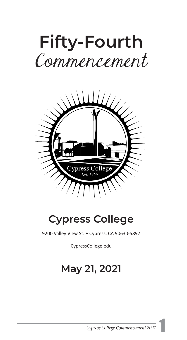# **Fifty-Fourth**  Commencement



# **Cypress College**

9200 Valley View St. • Cypress, CA 90630-5897

[CypressCollege.edu](https://CypressCollege.edu) 

# **May 21, 2021**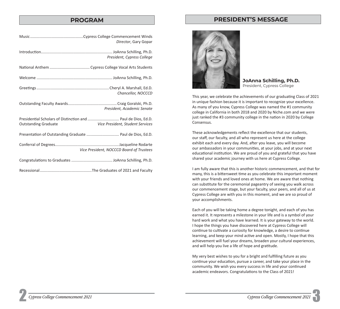# **PROGRAM PRESIDENT'S MESSAGE**

| Director, Gary Gopar                                                                                                             |
|----------------------------------------------------------------------------------------------------------------------------------|
| President, Cypress College                                                                                                       |
|                                                                                                                                  |
|                                                                                                                                  |
| Chancellor, NOCCCD                                                                                                               |
| President, Academic Senate                                                                                                       |
| Presidential Scholars of Distinction and  Paul de Dios, Ed.D.<br><b>Outstanding Graduate</b><br>Vice President, Student Services |
| Presentation of Outstanding Graduate  Paul de Dios, Ed.D.                                                                        |
| Vice President, NOCCCD Board of Trustees                                                                                         |
|                                                                                                                                  |
|                                                                                                                                  |



**JoAnna Schilling, Ph.D.**  President, Cypress College

This year, we celebrate the achievements of our graduating Class of 2021 in unique fashion because it is important to recognize your excellence. As many of you know, Cypress College was named the #1 community college in California in both 2018 and 2020 by [Niche.com](https://Niche.com) and we were just ranked the #3 community college in the nation in 2020 by College Consensus.

These acknowledgements reflect the excellence that our students, our staff, our faculty, and all who represent us here at the college exhibit each and every day. And, after you leave, you will become our ambassadors in your communities, at your jobs, and at your next educational institution. We are proud of you and grateful that you have shared your academic journey with us here at Cypress College.

I am fully aware that this is another historic commencement, and that for many, this is a bittersweet time as you celebrate this important moment with your friends and loved ones at home. We are aware that nothing can substitute for the ceremonial pageantry of seeing you walk across our commencement stage, but your faculty, your peers, and all of us at Cypress College are with you in this moment, and we are so proud of your accomplishments.

Each of you will be taking home a degree tonight, and each of you has earned it. It represents a milestone in your life and is a symbol of your hard work and what you have learned. It is your gateway to the world. I hope the things you have discovered here at Cypress College will continue to cultivate a curiosity for knowledge, a desire to continue learning, and keep your mind active and open. Mostly, I hope that this achievement will fuel your dreams, broaden your cultural experiences, and will help you live a life of hope and gratitude.

My very best wishes to you for a bright and fulfilling future as you continue your education, pursue a career, and take your place in the community. We wish you every success in life and your continued academic endeavors. Congratulations to the Class of 2021!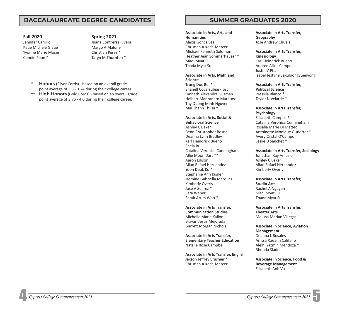# BACCALAUREATE DEGREE CANDIDATES **No. 1998 ISLACTES 1998 SUMMER GRADUATES** 2020

Katie Michele Glaue Margo A Malone Yvonne Marie Moser Christian Perez \* Connie Poon \* Taryn M Thornton \*

# **Fall 2020 Spring 2021**

Jennifer Carrillo Juana Contreras Rivera

- **Honors** (Silver Cords) based on an overall grade point average of 3.3 - 3.74 during their college career.
- \*\* **High Honors** (Gold Cords) based on an overall grade point average of 3.75 - 4.0 during their college career.

## **Associate in Arts, Arts and**

**Humanities** Alexis Goncalves Christian A Kech-Mercer Michael Kenneth Solomon Heather Jean Sommerhauser \* Madi Myat Su Thada Myat Su

### **Associate in Arts, Math and Science**

Trung Duc Bui \* Shanell Covarrubias-Tosc Lynneth Alexandra Guzman Helbert Manzanero Marquez Thy Duong Minh Nguyen Mai Thanh Thi Ta \*

# **Associate in Arts, Social &**

**Behavioral Science**  Ashley C Baker Benn Christopher Bostic Deanna Lynn Bradley Karl Heindrick Bueno Shela Bui Catalina Veronica Cunningham Allie Moon Dart \*\* Aaron Edison Allan Rafael Hernandez Yoon Deok Ko \* Stephanie Ann Kugler Jasmine Gabriella Marquez Kimberly Overly Jose A Suarez \* Sara Weber Sarah Arum Woo \*

# **Associate in Arts Transfer, Communication Studies** Michelle Marie Kallon Brayan Jesus Mejorada Garrett Morgan Nichols

**Associate in Arts Transfer, Elementary Teacher Education** Natalie Rose Campbell

**Associate in Arts Transfer, English**  Jaxson Jeffrey Brashier \* Christian A Kech-Mercer

# **Associate in Arts Transfer, Geography**  Jose Andrew Chuela

**Associate in Arts Transfer, Kinesiology**  Karl Heindrick Bueno Audree Alixis Campos Justin V Phan Isabel Jestyne Sakulpongyuenyong

**Associate in Arts Transfer, Political Science** Pressila Blanco \* Tayler N Velarde \*

# **Associate in Arts Transfer, Psychology**

Elizabeth Campos \* Catalina Veronica Cunningham Rosalia Marie Di Matteo Antoinette Monique Gutierrez \* Avery Cristal O'Campo Leslie D Sanchez \*

# **Associate in Arts Transfer, Sociology**

Jonathan Ray Amasio Ashley C Baker Allan Rafael Hernandez Kimberly Overly

# **Associate in Arts Transfer,**

**Studio Arts**  Rachel A Nguyen Madi Myat Su Thada Myat Su

**Associate in Arts Transfer, Theater Arts**  Melissa Marian Villegas

# **Associate in Science, Aviation Management**  Deanna L Rosales Anissa Raeann Califano

Alelhi Yazmin Mendoza \* Rhonda Slade

**Associate in Science, Food & Beverage Management**  Elizabeth Anh Vo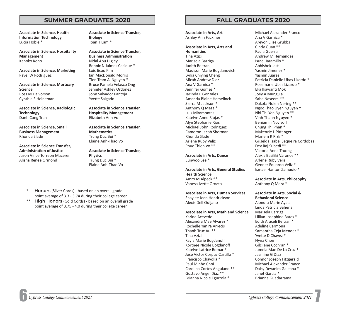# **SUMMER GRADUATES 2020 FALL GRADUATES 2020**

**Associate in Science, Health Information Technology** Lucia Hoble \*

**Associate in Science, Hospitality Management**  Kahoko Kono

**Associate in Science, Marketing** Pavel W Rodriguez

**Associate in Science, Mortuary Science**  Ross M Halvorson Cynthia E Heineman

**Associate in Science, Radiologic Technology**  Danh Cong Tran

**Associate in Science, Small Business Management**  Rhonda Slade

**Associate in Science Transfer, Administration of Justice** Jason Vince Torreon Maceren Alisha Renee Ormond

**Associate in Science Transfer, Biology**  Toan T Lam \*

**Associate in Science Transfer, Business Administration** Nidal Abu Higley Ronnic N Jaimes Cacique \* Lois Jisoo Kim Ian MacDonald Morris Tien Tram Ai Nguyen \* Bruce Pamela Velasco Ong Jennifer Ashley Ordonez John Salvador Pantoja Yvette Salgado

**Associate in Science Transfer, Hospitality Management**  Elizabeth Anh Vo

**Associate in Science Transfer, Mathematics** Trung Duc Bui \* Elaine Anh-Thao Vo

**Associate in Science Transfer, Physics**  Trung Duc Bui \* Elaine Anh-Thao Vo

- **Honors** (Silver Cords) based on an overall grade point average of 3.3 - 3.74 during their college career.
- **High Honors** (Gold Cords) based on an overall grade point average of 3.75 - 4.0 during their college career.

**Associate in Arts, Art**  Ashley Ann Fackiner

**Associate in Arts, Arts and Humanities**

Tina Azizi Marisela Barriga Judith Beltran Madison Marie Bogdanovich Lydia Chiying Cheng Micah Andrew Diaz Ana V Garnica \* Jennifer Gomez \* Jacinda E Gonzales Amanda Blaine Hamelinck Sierra M Jackson \* Anthony Q Meza \* Luis Miramontes Katelyn Anne Riojas \* Alyn Stephanie Rios Michael John Rodriguez Cameron Jacob Sherman Rhonda Slade Arlene Ruby Veliz Phuc Thien Vo \*\*

**Associate in Arts, Dance**  Eunwoo Lee \*

**Associate in Arts, General Studies Health Science**  Amro M Alpeck \*\* Vanesa Ivette Orozco

**Associate in Arts, Human Services**  Shaylee Jean Hendrickson Alexis Dell Quijano

**Associate in Arts, Math and Science** 

Karina Acevedo Alexandra Mae Alvarez \* Rochelle Yanira Arrecis Thanh Truc Au \*\* Tina Azizi Kayla Marie Bogdanoff Kortnee Nicole Bogdanoff Katelyn Latrice Bomar \* Jose Victor Corpuz Castillo \* Francisco Chavolla \* Paul Minho Choi Carolina Cortes Anguiano \*\* Gustavo Angel Diaz \*\* Brianna Nicole Egurrola \*

Michael Alexander Franco Ana V Garnica \* Areyon Elise Grubbs Cindy Guan \*\* Paula Guerra Andrew M Hernandez Israel Jaramillo \* Abhishek Jasti Yasmin Jimenez \* Yasmin Juarez Patricia Danielle Ubas Lizardo \* Rosemarie Ubas Lizardo \* Eka Ikawanti Mok Joey A Munguia Saba Naseem \*\* Dakota Nolen Nering \*\* Ngoc Thao Uyen Nguyen \* Nhi Thi Yen Nguyen \*\* Vinh Thanh Nguyen \* Benjamin Novisoff Chung Thi Phan \* Makenzie L Pittenger Mariem R Rizk \* Griselda Isabel Sequeira Cordobas Dev Raj Subedi \*\* Victoria Anna Truong Alexis Basiliki Varonos \*\* Arlene Ruby Veliz Genner Eduardo Veliz \* Ismael Hanton Zamudio \*

**Associate in Arts, Philosophy**  Anthony Q Meza \*

**Associate in Arts, Social & Behavioral Science**  Alondra Marie Ayala Linda Patricia Bahena Marisela Barriga Lillian Josephine Bates \* Edith Araceli Beltran \* Adeline Carmona Samantha Ceja Mendez \* Yvette D Chavez \* Nyna Choe Gilcilene Cochran \* Jumela Mae De La Cruz \* Jasmine G Diaz Connor Joseph Fitzgerald Michael Alexander Franco Daisy Deyanira Galeana \* Janet Garcia \* Brianna Guadarrama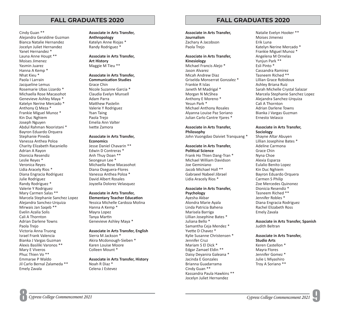Cindy Guan \*\* Alejandra Geraldine Guzman Bianca Natalie Hernandez Jocelyn Juliet Hernandez Yanet Hernandez \* Launa Anne Houpt \*\* Moises Jimenez Yasmin Juarez Hanna A Kemp \* Nhat Kieu \* Paola I Larrain Jacqueline Lemus Rosemarie Ubas Lizardo \* Michaella Rose Macasohot Genevieve Ashley Maya \* Katelyn Nerine Mercado \* Anthony Q Meza \* Frankie Miguel Munoz \* Kin Duc Nghiem Joseph Nguyen Abdul Rahman Nooristani \* Bayron Eduardo Orquera Stephanie Pineda Vanessa Anthea Poloa Charity Elizabeth Racaniello Adrian A Rayon Dionicia Resendiz Leslie Reyes \* Veronica Reyes Lidia Aracely Rios \* Diana Engracia Rodriguez Julie Rodriguez Randy Rodriguez \* Valerie Y Rodriguez Mary Carmen Salas \*\* Marcela Stephanie Sanchez Lopez Alejandra Sanchez-Urquiza Mirwais Jan Saqeb \*\* Evelin Azalia Solis Cali A Thornton Adrian Darlene Towns Paola Trejo Victoria Anna Truong Israel Frank Valencia Bianka J Vargas Guzman Alexis Basiliki Varonos \*\* Mary E Viveros Phuc Thien Vo \*\* Emmarae P Waldo Jil Carlo Bernal Zalameda \*\* Emely Zavala

**Associate in Arts Transfer, Anthropology**  Katelyn Anne Riojas \* Randy Rodriguez \*

**Associate in Arts Transfer, Art History**  Maggie M Tieu \*\*

**Associate in Arts Transfer, Communication Studies** Grace Chin Nicole Suzanne Garcia \* Claudia Evelyn Munsell Adam Parra Matthew Pastelin Valerie Y Rodriguez Ysan Taing Paola Trejo Emelia Ann Valter Ivette Zamora

# **Associate in Arts Transfer, Economics**

Jesse Daniel Chavarin \*\* Edwin D Contreras \* Anh Thuy Doan \*\* Seongeun Lee \* Michaella Rose Macasohot Diana Oseguera-Flores Vanessa Anthea Poloa \* David Albert Rosales Joyzella Dolorez Velasquez

# **Associate in Arts Transfer,**

**Elementary Teacher Education** Yessica Michelle Cardoza Molina Hanna A Kemp \* Mayra Lopez Tanya Martin Genevieve Ashley Maya \*

# **Associate in Arts Transfer, English**

Sierra M Jackson \* Akira Mcdonough-Sieben \* Karen Louise Moore Colleen Mount \*

# **Associate in Arts Transfer, History**  Noah R Diaz \* Celena J Estevez

# **FALL GRADUATES 2020 FALL GRADUATES 2020**

**Associate in Arts Transfer, Journalism** Zachary A Jacobson Paola Trejo

# **Associate in Arts Transfer,**

**Kinesiology**  Michael Francis Alejo \* Jason Alvarez Micah Andrew Diaz Griselda Monserrat Gonzalez \* Frankie R Islas Janeth M Madrigal \* Morgan N McShea Anthony E Moreno \* Yesun Park \* Michael Anthony Rosales Alyanna Louise Paz Soriano Julian Carlo Cantre Yjares \*

# **Associate in Arts Transfer,**

**Philosophy**  John Vuongdao Daiviet Tranquang \*

# **Associate in Arts Transfer,**

**Political Science** Frank Ho Thien Dang-Tran \* Michael William Davidson Joe Geminiano Jacob Michael Holl \*\* Gabraeel Nabeel Jibrael Lidia Aracely Rios \*

# **Associate in Arts Transfer, Psychology**

Ayesha Akbar Alondra Marie Ayala Linda Patricia Bahena Marisela Barriga Lillian Josephine Bates \* Juliana Bello \* Samantha Ceja Mendez \* Yvette D Chavez \* Kylie Susanne Christensen \* Jennifer Cruz Mariam S El Dick \* Edgar Zamael Eldin \*\* Daisy Deyanira Galeana \* Jacinda E Gonzales Brianna Guadarrama Cindy Guan \*\* Kassandra Paula Hawkins \*\* Jocelyn Juliet Hernandez

Natalie Evelyn Hooker \*\* Moises Jimenez Erik Luna Katelyn Nerine Mercado \* Frankie Miguel Munoz \* Angelena M Ornelas Yunjun Park \*\* Esli Pinto \* Cassandra Ramirez Tasneem Riched \*\* Lillian Grace Robidoux Ashley Briana Ruiz Sarah Michelle Crystal Salazar Marcela Stephanie Sanchez Lopez Alejandra Sanchez-Urquiza Cali A Thornton Adrian Darlene Towns Bianka J Vargas Guzman Ernesto Velasco

# **Associate in Arts Transfer, Sociology**

Shayne Altar Abuyen Lillian Josephine Bates \* Adeline Carmona Grace Chin Nyna Choe Alexia Esparza Eulalio Benito Lopez Kin Duc Nghiem Bayron Eduardo Orquera Carmen S Philip Zoe Mercedes Quinonez Dionicia Resendiz \* Tasneem Riched \*\* Jennifer Robles \* Diana Engracia Rodriguez Rachel Elizabeth Ross Emely Zavala

### **Associate in Arts Transfer, Spanish**  Judith Beltran

# **Associate in Arts Transfer, Studio Arts**

Keren Castellon \* Mayra Flores Jennifer Gomez \* Julie L Miyashiro Troy A Soriano \*\*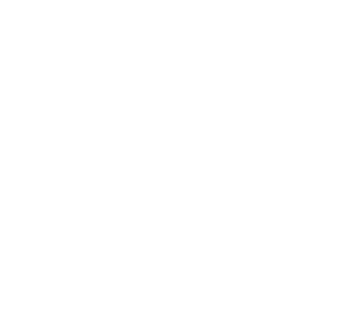# **FityFourth** Commencement





200 Valley Vie St Cypress, CA 00-

CypressCollegeedu

# May 21, 2021

 $\boldsymbol{l}$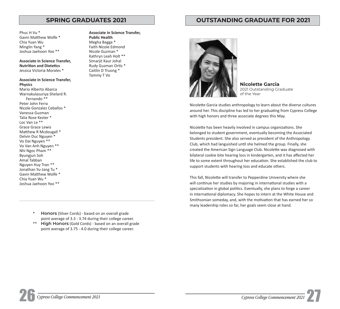Phuc H Vu \* Gavin Matthew Wolfe \* Chia Yuan Wu Minglin Yang \* Joshua Jaehoon Yoo \*\*

# **Associate in Science Transfer, Nutrition and Dietetics** Jessica Victoria Morales \*

# **Associate in Science Transfer, Physics**

Mario Alberto Abarca Warnakulasuriya Shelard R. Fernando \*\* Peter John Ferra Nicole Gonzalez Ceballos \* Vanessa Guzman Talia Rose Kester \* Loc Van Le \*\* Grace Grace Lewis Matthew R Mcdougall \* Delvin Duc Nguyen \* Vo Dai Nguyen \*\* Vo Van Anh Nguyen \*\* Nhi Ngoc Pham \*\* Byungjun Soh Amal Tabban Nguyen Huy Tran \*\* Jonathan Yu-Jang Tu \* Gavin Matthew Wolfe \* Chia Yuan Wu \* Joshua Jaehoon Yoo \*\*

**Associate in Science Transfer, Public Health**  Megha Bagga \* Faith Nicole Edmond Nicole Guzman \* Kathryn Leah Holt \*\* Simarjit Kaur Johal Rudy Guzman Ortiz \* Caitlin D Truong \* Tammy T Vo

# **SPRING GRADUATES 2021 OUTSTANDING GRADUATE FOR 2021**



**Nicolette Garcia**  2021 Outstanding Graduate of the Year

Nicolette Garcia studies anthropology to learn about the diverse cultures around her. This discipline has led to her graduating from Cypress College with high honors and three associate degrees this May.

Nicolette has been heavily involved in campus organizations. She belonged to student government, eventually becoming the Associated Students president. She also served as president of the Anthropology Club, which had languished until she helmed the group. Finally, she created the American Sign Language Club. Nicolette was diagnosed with bilateral cookie bite hearing loss in kindergarten, and it has affected her life to some extent throughout her education. She established the club to support students with hearing loss and educate others.

This fall, Nicolette will transfer to Pepperdine University where she will continue her studies by majoring in international studies with a specialization in global politics. Eventually, she plans to forge a career in international diplomacy. She hopes to intern at the White House and Smithsonian someday, and, with the motivation that has earned her so many leadership roles so far, her goals seem close at hand.

- \* **Honors** (Silver Cords) based on an overall grade point average of 3.3 - 3.74 during their college career.
- \*\* **High Honors** (Gold Cords) based on an overall grade point average of 3.75 - 4.0 during their college career.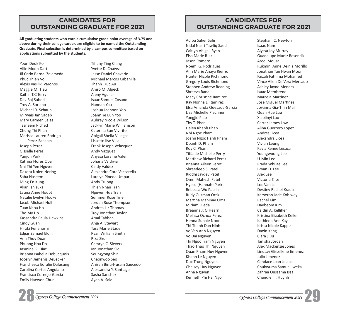# **CANDIDATES FOR OUTSTANDING GRADUATE FOR 2021**

All graduating students who earn a cumulative grade point average of 3.75 and<br>above during their college career, are eligible to be named the Outstanding<br>Nidal Nasri Tawfiq Saed<br>Nidal Nasri Tawfiq Saed Graduate. Final selection is determined by a campus committee based on **Caitlyn Abigail Ryan** Alyssa Joy Murray **applications submitted by the students.** Alyssa Joy Murray **applications submitted by the students.** Alyssa J

Yoon Deok Ko Allie Moon Dart Jil Carlo Bernal Zalameda Phuc Thien Vo Alexis Vasiliki Varonos Maggie M. Tieu Kaitlin T.C Terry Dev Raj Subedi Troy A. Soriano Michael R. Schaub Mirwais Jan Saqeb Mary Carmen Salas Tasneem Riched Chung Thi Phan Marissa Lauren Rodrigo Perez-Sanchez Joseph Perez Gisselle Perez Yunjun Park Katrina Flores Oba Nhi Thi Yen Nguyen Dakota Nolen Nering Saba Naseem Ming-En Kung Akari Ishizuka Launa Anne Houpt Natalie Evelyn Hooker Jacob Michael Holl Tuan Khoa Ho Tho My Ho Kassandra Paula Hawkins Cindy Guan Hiroki Funahashi Edgar Zamael Eldin Anh Thuy Doan Phuong Hoa Do Jasmine G. Diaz Brianna Isabella Debucquois Jocelyn Jemeniz DeBacker Franchesca Edralin Dalusung Carolina Cortes Anguiano Francisco Cornejo-Garcia Emily Haewon Chun

Tiffany Ting Ching Yvette D. Chavez Jesse Daniel Chavarin Michael Marcos Cabanilla Thanh Truc Au Amro M. Alpeck Aleny Aguilar Isaac Samuel Cosand Hannah You Joshua Jaehoon Yoo Joann Ye Eun Yoo Aubrey Nicole Wilson Jacklyn Marie Williamson Caterina Sun Vivirito Abigail Sheila Villegas Lissette Ilse Villa Frank Joseph Velasquez Andy Vazquez Anyssa Loraine Valen Johana Valdivia Cindy Valdez Alexandra Cora Vaccarella Laralyn Pineda Umpar Andy Truong Thien Nhan Tran Nguyen Huy Tran Summer Rose Tiner Jordan Rose Thompson Andrea Liz Thomas Troy Jonathan Taylor Amal Tabban Ahja A. Stewart Tara Marie Stadel Ryan William Smith Rika Skullr Camryn C. Sievers Ian Jonathan Sid Seungyong Shin Cheonwoo Seo Anisah Binti-Husain Saucedo Alessandra Y. Santiago Sasha Sanchez Ayah A. Said

# **CANDIDATES FOR OUTSTANDING GRADUATE FOR 2021**

Jason Romero Noemi G. Rodriguez Ann Marie Anaya Rienzo Hunter Nicole Richmond Gregory Louis Richmond Stephen Andrew Reading Shreeva Rana Macy Christine Ramirez Ray Nonna L. Ramirez Elsa Amanda Quesada-Garcia Lisa Michelle Plechner Yongjie Piao Thy T. Phan Helen Khanh Phan Nhi Ngoc Pham Joann Ngoc Hanh Pham Doanh D. Pham Roy C. Pham Tiffanie Michelle Perry Matthew Richard Perez Brianna Aileen Perez Shreedeep S. Patel Riddhi Jaydev Patel Omni Mahesh Patel Hyesu (Hannah) Park Rebecca Wu Paplia Rudy Guzman Ortiz Martina Mahinay Ortiz Miriam Ojeda Breanna J. O'Hearn Melissa Ochoa Perez Henna Suhale Noor Thi Thanh Dan Ninh Vo Van Anh Nguyen Vo Dai Nguyen Thi Ngoc Tram Nguyen Thao Thao Thi Nguyen Quan Pham Huy Nguyen Khanh Le Nguyen Duc Trung Nguyen Chelsey Huy Nguyen Anna Nguyen Kenneth Phi Hai Ngo

Areej Mousa Rukmini Anne Deinla Morillo Jonathan Tae Hwan Moon Faizah Fathima Mohamed Vince Allen De Vera Mercado Ashley Jayne Mendez Isaac Membreno Marcela Martinez Jose Miguel Martinez Jovanna Gia-Tinh Mai Quan Hue Luu Xiaolinyi Luo Carter James Low Alina Guerrero Lopez Andres Licea Alexandra Licea Vivian Leung Kayla Renee Lesaca Youngwoong Lee U-Min Lee Prada Whijae Lee Bryan D. Lee Alex Lee Victoria T. Le Loc Van Le Destiny Rachel Krause Kameron Jade Kohlwey Rachel Kim Daebeom Kim Caitlin A. Kelliher Kristina Elizabeth Keller Kathleen Ann Kay Krista Nicole Kappe Daein Kang Clara J. Ju Tanisha Jordan Alex Mackenzie Jones Lindsay Gissellene Jimenez Julio Jimenez Candace Joan Jelaco Chukwuma Samuel Iweka Zahraa Oussama Issa Chandler T. Huynh

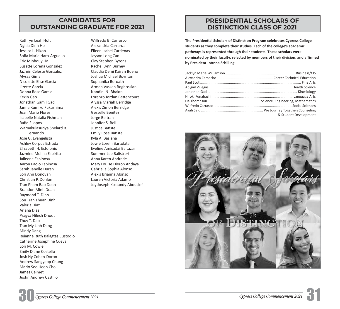# **CANDIDATES FOR OUTSTANDING GRADUATE FOR 2021**

Kathryn Leah Holt Nghia Dinh Ho Jessica L. Hizon Sofia Marie Haro-Arguello Eric Minhduy Ha Suzette Lorena Gonzalez Jazmin Celeste Gonzalez Alyssa Gima Nicolette Elise Garcia Lizette Garcia Donna Rose Garcia Kexin Gao Jonathan Gamil Gad Janna Kumiko Fukushima Juan Mario Flores Isabelle Natalia Fishman Rafiq Filopos Warnakulasuriya Shelard R. Fernando Jose G. Evangelista Ashley Corpus Estrada Elizabeth H. Estolonio Jazmine Molina Espiritu Jaileene Espinosa Aaron Paolo Espinosa Sarah Janelle Duran Lori Ann Donovan Christian P. Donlon Tran Pham Bao Doan Brandon Minh Doan Raymond T. Dinh Son Tran Thuan Dinh Valeria Diaz Ariana Diaz Pragya Nilesh Dhoot Thuy T. Dao Tran My Linh Dang Mindy Dang Reianne Ruth Balagtas Custodio Catherine Josephine Cueva Lori M. Cowle Emily Diane Costello Josh Hy Cohen-Doron Andrew Sangyeop Chung Mario Soo Heon Cho James Ceimet Justin Andrew Castillo

Wilfredo B. Carrasco Alexandria Carranza Eileen Isabel Cardenas Jayson Long Cao Clay Stephen Byrens Rachel Lynn Burney Claudia Demi Kairan Bueno Joshua Michael Boynton Sophanika Boroath Arman Vasken Boghossian Nandini NJ Bhakta Lorenzo Jordan Bettencourt Alyssa Mariah Berridge Alexis Zimon Berridge Gesselle Benitez Jorge Beltran Jennifer S. Bell Justice Batiste Emily Rose Batiste Kyla A. Basiana Jowie Lorein Bartolata Eveline Amisadai Baltazar Summer Lee Balistreri Anna Karen Andrade Mary Louise Dieron Andaya Gabriella Sophia Alonso Alexis Brianna Alonso Lauren Victoria Adamo Joy Joseph Kostandy Abousief

# **PRESIDENTIAL SCHOLARS OF DISTINCTION CLASS OF 2021**

**The Presidential Scholars of Distinction Program celebrates Cypress College students as they complete their studies. Each of the college's academic pathways is represented through their students. These scholars were nominated by their faculty, selected by members of their division, and affirmed by President JoAnna Schilling.**

| & Student Development |
|-----------------------|



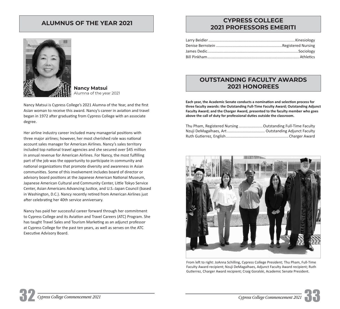

**Nancy Matsui**  Alumna of the year 2021

Nancy Matsui is Cypress College's 2021 Alumna of the Year, and the first Asian woman to receive this award. Nancy's career in aviation and travel began in 1972 after graduating from Cypress College with an associate degree.

Her airline industry career included many managerial positions with three major airlines; however, her most cherished role was national account sales manager for American Airlines. Nancy's sales territory included top national travel agencies and she secured over \$45 million in annual revenue for American Airlines. For Nancy, the most fulfilling part of the job was the opportunity to participate in community and national organizations that promote diversity and awareness in Asian communities. Some of this involvement includes board of director or advisory board positions at the Japanese American National Museum, Japanese American Cultural and Community Center, Little Tokyo Service Center, Asian Americans Advancing Justice, and U.S.-Japan Council (based in Washington, D.C.). Nancy recently retired from American Airlines just after celebrating her 40th service anniversary.

Nancy has paid her successful career forward through her commitment to Cypress College and its Aviation and Travel Careers (ATC) Program. She has taught Travel Sales and Tourism Marketing as an adjunct professor at Cypress College for the past ten years, as well as serves on the ATC Executive Advisory Board.

# **ALUMNUS OF THE YEAR 2021 CYPRESS COLLEGE 2021 PROFESSORS EMERITI**

# **OUTSTANDING FACULTY AWARDS 2021 HONOREES**

**Each year, the Academic Senate conducts a nomination and selection process for three faculty awards: the Outstanding Full-Time Faculty Award; Outstanding Adjunct Faculty Award; and the Charger Award, presented to the faculty member who goes above the call of duty for professional duties outside the classroom.**

| Thu Pham, Registered Nursing  Outstanding Full-Time Faculty |
|-------------------------------------------------------------|
|                                                             |
|                                                             |



From left to right: JoAnna Schilling, Cypress College President; Thu Pham, Full-Time Faculty Award recipient; Nzuji DeMagalhaes, Adjunct Faculty Award recipient; Ruth Gutierrez, Charger Award recipient; Craig Goralski, Academic Senate President.

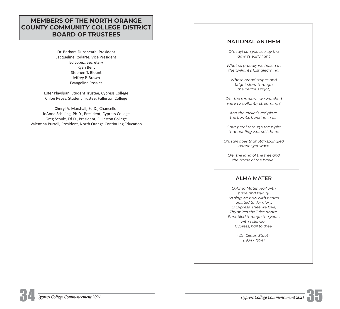# **MEMBERS OF THE NORTH ORANGE COUNTY COMMUNITY COLLEGE DISTRICT BOARD OF TRUSTEES**

Dr. Barbara Dunsheath, President Jacqueline Rodarte, Vice President Ed Lopez, Secretary Ryan Bent Stephen T. Blount Jeffrey P. Brown Evangelina Rosales

Ester Plavdjian, Student Trustee, Cypress College Chloe Reyes, Student Trustee, Fullerton College

Cheryl A. Marshall, Ed.D., Chancellor JoAnna Schilling, Ph.D., President, Cypress College Greg Schulz, Ed.D., President, Fullerton College Valentina Purtell, President, North Orange Continuing Education

# **NATIONAL ANTHEM**

*Oh, say! can you see, by the dawn's early light* 

*What so proudly we hailed at the twilight's last gleaming;* 

*Whose broad stripes and bright stars, through*  the perilous fight,

*O'er the ramparts we watched were so gallantly streaming?* 

*And the rocket's red glare, the bombs bursting in air,* 

*Gave proof through the night*  that our flag was still there:

*Oh, say! does that Star-spangled banner yet wave* 

*O'er the land of the free and the home of the brave?* 

# **ALMA MATER**

*O Alma Mater, Hail with pride and loyalty, So sing we now with hearts uplifted to thy glory. O Cypress, Thee we love, Thy spires shall rise above, Ennobled through the years with splendor, Cypress, hail to thee.* 

> *- Dr. Clifton Stout - (1934 - 1974)*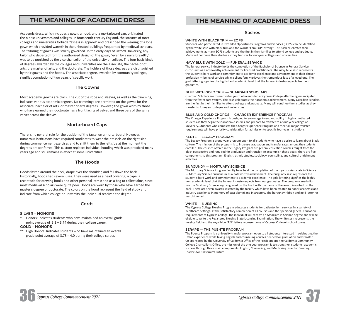# THE MEANING OF ACADEMIC DRESS **THE MEANING OF ACADEMIC DRESS**

Academic dress, which includes a gown, a hood, and a mortarboard cap, originated in the oldest universities and colleges. In fourteenth century England, the statutes of most colleges and universities forbade "excess in apparel" and prescribed the wearing of a long gown which provided warmth in the unheated buildings frequented by medieval scholars. The tailoring of gowns was strictly governed. In the early days of Oxford University, any tailor who departed from the authorized design of the gown, "even by a nail's breadth," was to be punished by the vice chancellor of the university or college. The four basic kinds of degrees awarded by the colleges and universities are the associate, the bachelor of arts, the master of arts, and the doctorate. The holders of those degrees are distinguished by their gowns and the hoods. The associate degree, awarded by community colleges, signifies completion of two years of specific work.

# **The Gowns**

Most academic gowns are black. The cut of the robe and sleeves, as well as the trimming, indicates various academic degrees. No trimmings are permitted on the gowns for the associate, bachelor of arts, or master of arts degrees. However, the gown worn by those who have earned their doctorate has a front facing of velvet and three bars of the same velvet across the sleeves.

### **Mortarboard Caps**

There is no general rule for the position of the tassel on a mortarboard. However, numerous institutions have required candidates to wear their tassels on the right side during commencement exercises and to shift them to the left side at the moment the degrees are conferred. This custom replaces individual hooding which was practiced many years ago and still remains in effect at some universities.

### **The Hoods**

Hoods fasten around the neck, drape over the shoulder, and fall down the back. Historically, hoods had several uses. They were used as a head covering; a cape; a receptacle for carrying books and other personal items; and as a bag to collect alms, since most medieval scholars were quite poor. Hoods are worn by those who have earned the master's degree or doctorate. The colors on the hood represent the field of study and indicate from which college or university the individual received the degree.

### **Cords**

#### **SILVER – HONORS**

- \* Honors: Indicates students who have maintained an overall grade point average of 3.3 – 3.74 during their college career.
- **GOLD HONORS**
- \*\* High Honors: Indicates students who have maintained an overall grade point average of 3.75 – 4.0 during their college career.

### **Sashes**

#### **WHITE WITH BLACK TRIM — EOPS**

Students who participated in Extended Opportunity Programs and Services (EOPS) can be identified by the white sash with black trim and the words "I am EOPS Strong." This sash celebrates their achievements as many EOPS students are the first in their families to attend college and graduate. Many will continue their studies as they transfer to four-year colleges and universities.

#### **NAVY BLUE WITH GOLD — FUNERAL SERVICE**

The funeral service industry holds the completion of the Bachelor of Science in Funeral Service curriculum as a noteworthy achievement for licensed practitioners. The navy blue sash represents the student's hard work and commitment to academic excellence and advancement of their chosen profession — being of service while a client family grieves the tremendous loss of a loved one. The gold lettering signifies the highly held academic level that the funeral industry expects from our graduates.

#### **BLUE WITH GOLD TRIM — GUARDIAN SCHOLARS**

Guardian Scholars are former foster youth who enrolled at Cypress College after being emancipated from the foster care system. This sash celebrates their academic achievement. Many Guardian Scholars are the first in their families to attend college and graduate. Many will continue their studies as they transfer to four-year colleges and universities.

#### **BLUE AND GOLD CHORDS — CHARGER EXPERIENCE PROGRAM**

The Charger Experience Program is designed to encourage talent and ability in highly motivated students as they begin their academic studies and prepare to transfer to a four-year college or university. Students who complete the Charger Experience Program and meet all major transfer requirements will have priority consideration for admission to specific four-year institutions.

#### **KENTE — LEGACY PROGRAM**

The Legacy Program is a one-year program open to all students who have a desire to learn about Black culture. The mission of the program is to increase graduation and transfer rates among the students enrolled. The courses offered in the Legacy Program are general education courses taught from the Black perspective and required for graduation and transfer. To accomplish these goals, there are five components to this program: English, ethnic studies, sociology, counseling, and cultural enrichment activities.

#### **BURGUNDY — MORTUARY SCIENCE**

The Mortuary Science Program faculty have held the completion of the rigorous Associate in Science — Mortuary Science curriculum as a noteworthy achievement. The burgundy sash represents the student's hard work and commitment to academic excellence. The gold lettering signifies the highly held academic level that the funeral industry expects from our graduates. The program's medallion has the Mortuary Science logo engraved on the front with the name of the award inscribed on the back. There are seven awards selected by the faculty which have been created to honor academic and industry excellence in memory of past alumni and instructors. The burgundy ribbon and gold lettering match the sash.

#### **WHITE — NURSING**

The Cypress College Nursing Program educates students for patient/client services in a variety of healthcare settings. At the satisfactory completion of all courses and the specified general education requirements at Cypress College, the individual will receive an Associate in Science degree and will be eligible to write the Registered Nursing State Licensing Examination. The white sash represents the nursing field and the royal blue "RN" letters represent one of Cypress College's school colors.

#### **SERAPE — THE PUENTE PROGRAM**

The Puente Program is a university transfer program open to all students interested in celebrating the Latino experience while taking English and counseling courses needed for graduation and transfer. Co-sponsored by the University of California Office of the President and the California Community College Chancellor's Office, the mission of the one-year program is to strengthen students' academic success through three main components: English, Counseling, and Mentoring. Puente: Creating Leaders for California's Future.

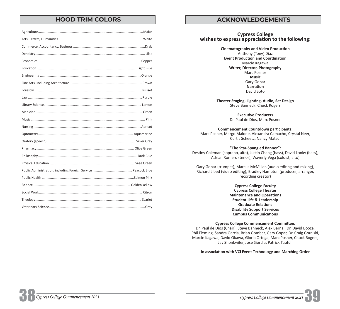# **HOOD TRIM COLORS ACKNOWLEDGEMENTS**

# **Cypress College wishes to express appreciation to the following:**

# **Cinematography and Video Production**

Anthony (Tony) Diaz **Event Production and Coordination** Marcie Kagawa **Writer, Director, Photography**  Marc Posner **Music**  Gary Gopar **Narration** David Soto

**Theater Staging, Lighting, Audio, Set Design** Steve Banneck, Chuck Rogers

> **Executive Producers** Dr. Paul de Dios, Marc Posner

# **Commencement Countdown participants:**

Marc Posner, Margo Malone, Alexandra Camacho, Crystal Neer, Curtis Scheetz, Nancy Matsui

# **"The Star-Spangled Banner":**

Destiny Coleman (soprano, alto), Justin Chang (bass), David Lonky (bass), Adrian Romero (tenor), Waverly Vega (soloist, alto)

Gary Gopar (trumpet), Marcus McMillan (audio editing and mixing), Richard Libed (video editing), Bradley Hampton (producer, arranger, recording creator)

> **Cypress College Faculty Cypress College Theater Maintenance and Operations Student Life & Leadership Graduate Relations Disability Support Services Campus Communications**

## **Cypress College Commencement Committee:**

Dr. Paul de Dios (Chair), Steve Banneck, Alex Bernal, Dr. David Booze, Phil Fleming, Sandra Garcia, Brian Gomber, Gary Gopar, Dr. Craig Goralski, Marcie Kagawa, David Okawa, Gloria Ortega, Marc Posner, Chuck Rogers, Jay Shonkwiler, Jose Siordia, Patrick Tuufuli

### **In association with VCI Event Technology and Marching Order**